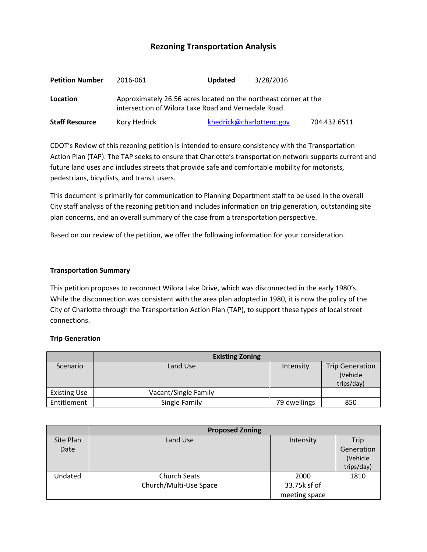# **Rezoning Transportation Analysis**

| <b>Petition Number</b> | 2016-061                                                                                                                 | <b>Updated</b> | 3/28/2016                |              |  |
|------------------------|--------------------------------------------------------------------------------------------------------------------------|----------------|--------------------------|--------------|--|
| Location               | Approximately 26.56 acres located on the northeast corner at the<br>intersection of Wilora Lake Road and Vernedale Road. |                |                          |              |  |
| <b>Staff Resource</b>  | Kory Hedrick                                                                                                             |                | khedrick@charlottenc.gov | 704.432.6511 |  |

CDOT's Review of this rezoning petition is intended to ensure consistency with the Transportation Action Plan (TAP). The TAP seeks to ensure that Charlotte's transportation network supports current and future land uses and includes streets that provide safe and comfortable mobility for motorists, pedestrians, bicyclists, and transit users.

This document is primarily for communication to Planning Department staff to be used in the overall City staff analysis of the rezoning petition and includes information on trip generation, outstanding site plan concerns, and an overall summary of the case from a transportation perspective.

Based on our review of the petition, we offer the following information for your consideration.

#### **Transportation Summary**

This petition proposes to reconnect Wilora Lake Drive, which was disconnected in the early 1980's. While the disconnection was consistent with the area plan adopted in 1980, it is now the policy of the City of Charlotte through the Transportation Action Plan (TAP), to support these types of local street connections.

#### **Trip Generation**

|                     | <b>Existing Zoning</b> |              |                                                  |  |
|---------------------|------------------------|--------------|--------------------------------------------------|--|
| Scenario            | Land Use               | Intensity    | <b>Trip Generation</b><br>(Vehicle<br>trips/day) |  |
| <b>Existing Use</b> | Vacant/Single Family   |              |                                                  |  |
| Entitlement         | Single Family          | 79 dwellings | 850                                              |  |

|                   | <b>Proposed Zoning</b>                        |                                       |                                              |  |
|-------------------|-----------------------------------------------|---------------------------------------|----------------------------------------------|--|
| Site Plan<br>Date | Land Use                                      | Intensity                             | Trip<br>Generation<br>(Vehicle<br>trips/day) |  |
| Undated           | <b>Church Seats</b><br>Church/Multi-Use Space | 2000<br>33.75k sf of<br>meeting space | 1810                                         |  |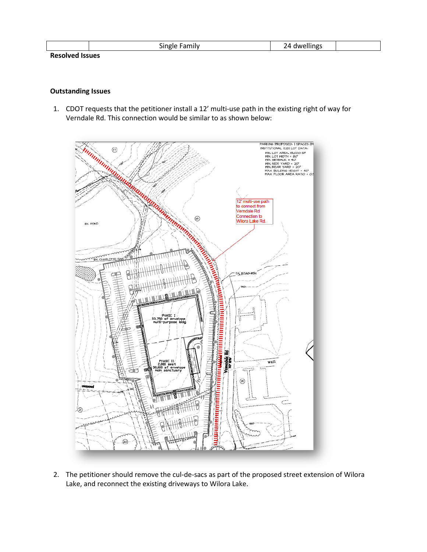|        | Single<br>Family | ) Л<br>24 dwellings |  |
|--------|------------------|---------------------|--|
| $\sim$ |                  |                     |  |

#### **Resolved Issues**

### **Outstanding Issues**

1. CDOT requests that the petitioner install a 12' multi-use path in the existing right of way for Verndale Rd. This connection would be similar to as shown below:



2. The petitioner should remove the cul-de-sacs as part of the proposed street extension of Wilora Lake, and reconnect the existing driveways to Wilora Lake.